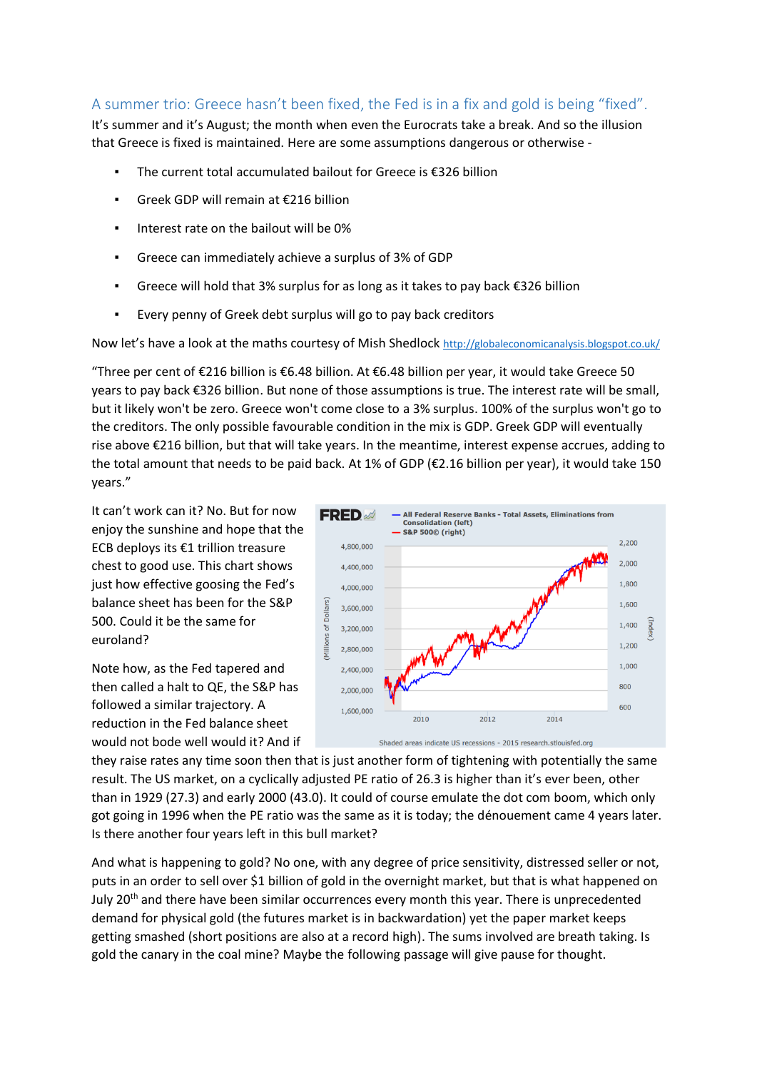## A summer trio: Greece hasn't been fixed, the Fed is in a fix and gold is being "fixed".

It's summer and it's August; the month when even the Eurocrats take a break. And so the illusion that Greece is fixed is maintained. Here are some assumptions dangerous or otherwise -

- The current total accumulated bailout for Greece is  $\epsilon$ 326 billion
- Greek GDP will remain at €216 billion
- Interest rate on the bailout will be 0%
- Greece can immediately achieve a surplus of 3% of GDP
- Greece will hold that 3% surplus for as long as it takes to pay back €326 billion
- Every penny of Greek debt surplus will go to pay back creditors

Now let's have a look at the maths courtesy of Mish Shedlock <http://globaleconomicanalysis.blogspot.co.uk/>

"Three per cent of €216 billion is €6.48 billion. At €6.48 billion per year, it would take Greece 50 years to pay back €326 billion. But none of those assumptions is true. The interest rate will be small, but it likely won't be zero. Greece won't come close to a 3% surplus. 100% of the surplus won't go to the creditors. The only possible favourable condition in the mix is GDP. Greek GDP will eventually rise above €216 billion, but that will take years. In the meantime, interest expense accrues, adding to the total amount that needs to be paid back. At 1% of GDP (€2.16 billion per year), it would take 150 years."

It can't work can it? No. But for now enjoy the sunshine and hope that the ECB deploys its €1 trillion treasure chest to good use. This chart shows just how effective goosing the Fed's balance sheet has been for the S&P 500. Could it be the same for euroland?

Note how, as the Fed tapered and then called a halt to QE, the S&P has followed a similar trajectory. A reduction in the Fed balance sheet would not bode well would it? And if



they raise rates any time soon then that is just another form of tightening with potentially the same result. The US market, on a cyclically adjusted PE ratio of 26.3 is higher than it's ever been, other than in 1929 (27.3) and early 2000 (43.0). It could of course emulate the dot com boom, which only got going in 1996 when the PE ratio was the same as it is today; the dénouement came 4 years later. Is there another four years left in this bull market?

And what is happening to gold? No one, with any degree of price sensitivity, distressed seller or not, puts in an order to sell over \$1 billion of gold in the overnight market, but that is what happened on July 20<sup>th</sup> and there have been similar occurrences every month this year. There is unprecedented demand for physical gold (the futures market is in backwardation) yet the paper market keeps getting smashed (short positions are also at a record high). The sums involved are breath taking. Is gold the canary in the coal mine? Maybe the following passage will give pause for thought.